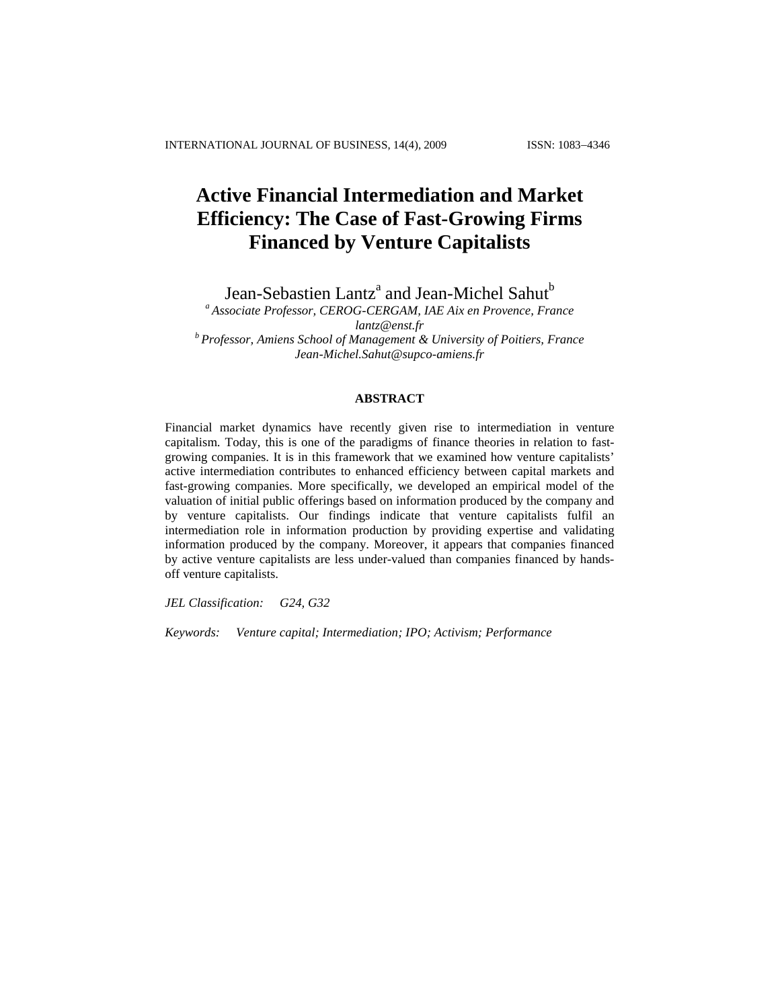# **Active Financial Intermediation and Market Efficiency: The Case of Fast-Growing Firms Financed by Venture Capitalists**

Jean-Sebastien Lantz<sup>a</sup> and Jean-Michel Sahut<sup>b</sup>

*<sup>a</sup> Associate Professor, CEROG-CERGAM, IAE Aix en Provence, France [lantz@enst.fr](mailto:lantz@enst.fr) <sup>b</sup> Professor, Amiens School of Management & University of Poitiers, France [Jean-Michel.Sahut@supco-amiens.fr](mailto:Jean-Michel.Sahut@supco-amiens.fr)*

# **ABSTRACT**

Financial market dynamics have recently given rise to intermediation in venture capitalism. Today, this is one of the paradigms of finance theories in relation to fastgrowing companies. It is in this framework that we examined how venture capitalists' active intermediation contributes to enhanced efficiency between capital markets and fast-growing companies. More specifically, we developed an empirical model of the valuation of initial public offerings based on information produced by the company and by venture capitalists. Our findings indicate that venture capitalists fulfil an intermediation role in information production by providing expertise and validating information produced by the company. Moreover, it appears that companies financed by active venture capitalists are less under-valued than companies financed by handsoff venture capitalists.

*JEL Classification: G24, G32*

*Keywords: Venture capital; Intermediation; IPO; Activism; Performance*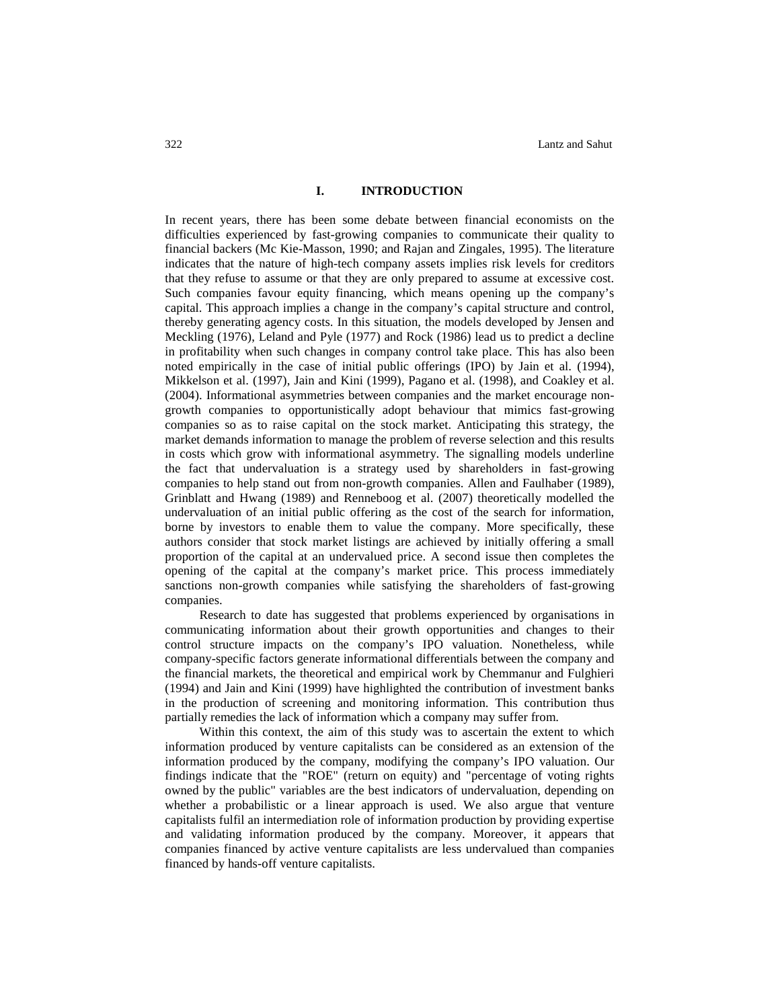## **I. INTRODUCTION**

In recent years, there has been some debate between financial economists on the difficulties experienced by fast-growing companies to communicate their quality to financial backers (Mc Kie-Masson, 1990; and Rajan and Zingales, 1995). The literature indicates that the nature of high-tech company assets implies risk levels for creditors that they refuse to assume or that they are only prepared to assume at excessive cost. Such companies favour equity financing, which means opening up the company's capital. This approach implies a change in the company's capital structure and control, thereby generating agency costs. In this situation, the models developed by Jensen and Meckling (1976), Leland and Pyle (1977) and Rock (1986) lead us to predict a decline in profitability when such changes in company control take place. This has also been noted empirically in the case of initial public offerings (IPO) by Jain et al. (1994), Mikkelson et al. (1997), Jain and Kini (1999), Pagano et al. (1998), and Coakley et al. (2004). Informational asymmetries between companies and the market encourage nongrowth companies to opportunistically adopt behaviour that mimics fast-growing companies so as to raise capital on the stock market. Anticipating this strategy, the market demands information to manage the problem of reverse selection and this results in costs which grow with informational asymmetry. The signalling models underline the fact that undervaluation is a strategy used by shareholders in fast-growing companies to help stand out from non-growth companies. Allen and Faulhaber (1989), Grinblatt and Hwang (1989) and Renneboog et al. (2007) theoretically modelled the undervaluation of an initial public offering as the cost of the search for information, borne by investors to enable them to value the company. More specifically, these authors consider that stock market listings are achieved by initially offering a small proportion of the capital at an undervalued price. A second issue then completes the opening of the capital at the company's market price. This process immediately sanctions non-growth companies while satisfying the shareholders of fast-growing companies.

Research to date has suggested that problems experienced by organisations in communicating information about their growth opportunities and changes to their control structure impacts on the company's IPO valuation. Nonetheless, while company-specific factors generate informational differentials between the company and the financial markets, the theoretical and empirical work by Chemmanur and Fulghieri (1994) and Jain and Kini (1999) have highlighted the contribution of investment banks in the production of screening and monitoring information. This contribution thus partially remedies the lack of information which a company may suffer from.

Within this context, the aim of this study was to ascertain the extent to which information produced by venture capitalists can be considered as an extension of the information produced by the company, modifying the company's IPO valuation. Our findings indicate that the "ROE" (return on equity) and "percentage of voting rights owned by the public" variables are the best indicators of undervaluation, depending on whether a probabilistic or a linear approach is used. We also argue that venture capitalists fulfil an intermediation role of information production by providing expertise and validating information produced by the company. Moreover, it appears that companies financed by active venture capitalists are less undervalued than companies financed by hands-off venture capitalists.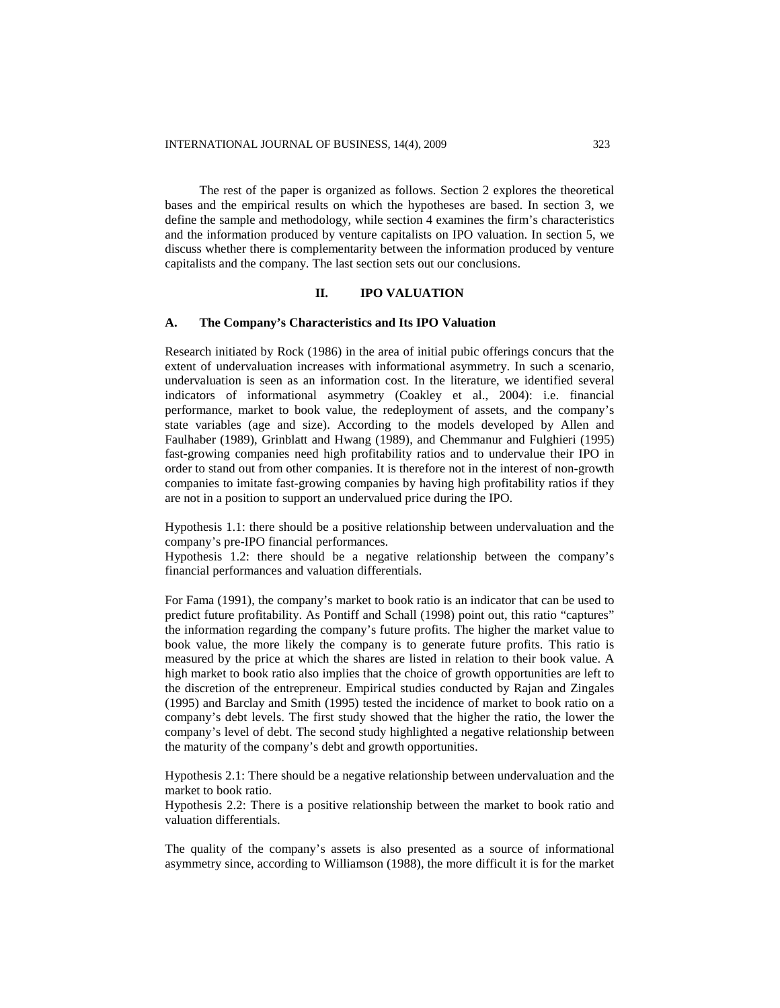The rest of the paper is organized as follows. Section 2 explores the theoretical bases and the empirical results on which the hypotheses are based. In section 3, we define the sample and methodology, while section 4 examines the firm's characteristics and the information produced by venture capitalists on IPO valuation. In section 5, we discuss whether there is complementarity between the information produced by venture capitalists and the company. The last section sets out our conclusions.

# **II. IPO VALUATION**

#### **A. The Company's Characteristics and Its IPO Valuation**

Research initiated by Rock (1986) in the area of initial pubic offerings concurs that the extent of undervaluation increases with informational asymmetry. In such a scenario, undervaluation is seen as an information cost. In the literature, we identified several indicators of informational asymmetry (Coakley et al., 2004): i.e. financial performance, market to book value, the redeployment of assets, and the company's state variables (age and size). According to the models developed by Allen and Faulhaber (1989), Grinblatt and Hwang (1989), and Chemmanur and Fulghieri (1995) fast-growing companies need high profitability ratios and to undervalue their IPO in order to stand out from other companies. It is therefore not in the interest of non-growth companies to imitate fast-growing companies by having high profitability ratios if they are not in a position to support an undervalued price during the IPO.

Hypothesis 1.1: there should be a positive relationship between undervaluation and the company's pre-IPO financial performances.

Hypothesis 1.2: there should be a negative relationship between the company's financial performances and valuation differentials.

For Fama (1991), the company's market to book ratio is an indicator that can be used to predict future profitability. As Pontiff and Schall (1998) point out, this ratio "captures" the information regarding the company's future profits. The higher the market value to book value, the more likely the company is to generate future profits. This ratio is measured by the price at which the shares are listed in relation to their book value. A high market to book ratio also implies that the choice of growth opportunities are left to the discretion of the entrepreneur. Empirical studies conducted by Rajan and Zingales (1995) and Barclay and Smith (1995) tested the incidence of market to book ratio on a company's debt levels. The first study showed that the higher the ratio, the lower the company's level of debt. The second study highlighted a negative relationship between the maturity of the company's debt and growth opportunities.

Hypothesis 2.1: There should be a negative relationship between undervaluation and the market to book ratio.

Hypothesis 2.2: There is a positive relationship between the market to book ratio and valuation differentials.

The quality of the company's assets is also presented as a source of informational asymmetry since, according to Williamson (1988), the more difficult it is for the market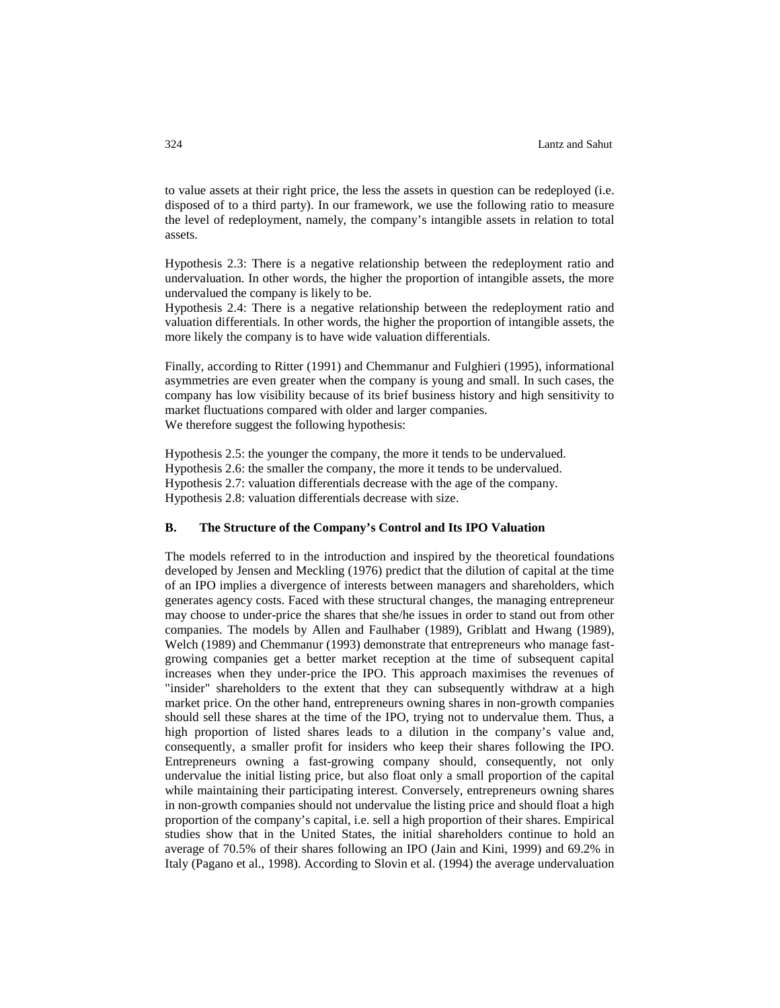to value assets at their right price, the less the assets in question can be redeployed (i.e. disposed of to a third party). In our framework, we use the following ratio to measure the level of redeployment, namely, the company's intangible assets in relation to total assets.

Hypothesis 2.3: There is a negative relationship between the redeployment ratio and undervaluation. In other words, the higher the proportion of intangible assets, the more undervalued the company is likely to be.

Hypothesis 2.4: There is a negative relationship between the redeployment ratio and valuation differentials. In other words, the higher the proportion of intangible assets, the more likely the company is to have wide valuation differentials.

Finally, according to Ritter (1991) and Chemmanur and Fulghieri (1995), informational asymmetries are even greater when the company is young and small. In such cases, the company has low visibility because of its brief business history and high sensitivity to market fluctuations compared with older and larger companies. We therefore suggest the following hypothesis:

Hypothesis 2.5: the younger the company, the more it tends to be undervalued. Hypothesis 2.6: the smaller the company, the more it tends to be undervalued.

Hypothesis 2.7: valuation differentials decrease with the age of the company.

Hypothesis 2.8: valuation differentials decrease with size.

## **B. The Structure of the Company's Control and Its IPO Valuation**

The models referred to in the introduction and inspired by the theoretical foundations developed by Jensen and Meckling (1976) predict that the dilution of capital at the time of an IPO implies a divergence of interests between managers and shareholders, which generates agency costs. Faced with these structural changes, the managing entrepreneur may choose to under-price the shares that she/he issues in order to stand out from other companies. The models by Allen and Faulhaber (1989), Griblatt and Hwang (1989), Welch (1989) and Chemmanur (1993) demonstrate that entrepreneurs who manage fastgrowing companies get a better market reception at the time of subsequent capital increases when they under-price the IPO. This approach maximises the revenues of "insider" shareholders to the extent that they can subsequently withdraw at a high market price. On the other hand, entrepreneurs owning shares in non-growth companies should sell these shares at the time of the IPO, trying not to undervalue them. Thus, a high proportion of listed shares leads to a dilution in the company's value and, consequently, a smaller profit for insiders who keep their shares following the IPO. Entrepreneurs owning a fast-growing company should, consequently, not only undervalue the initial listing price, but also float only a small proportion of the capital while maintaining their participating interest. Conversely, entrepreneurs owning shares in non-growth companies should not undervalue the listing price and should float a high proportion of the company's capital, i.e. sell a high proportion of their shares. Empirical studies show that in the United States, the initial shareholders continue to hold an average of 70.5% of their shares following an IPO (Jain and Kini, 1999) and 69.2% in Italy (Pagano et al., 1998). According to Slovin et al. (1994) the average undervaluation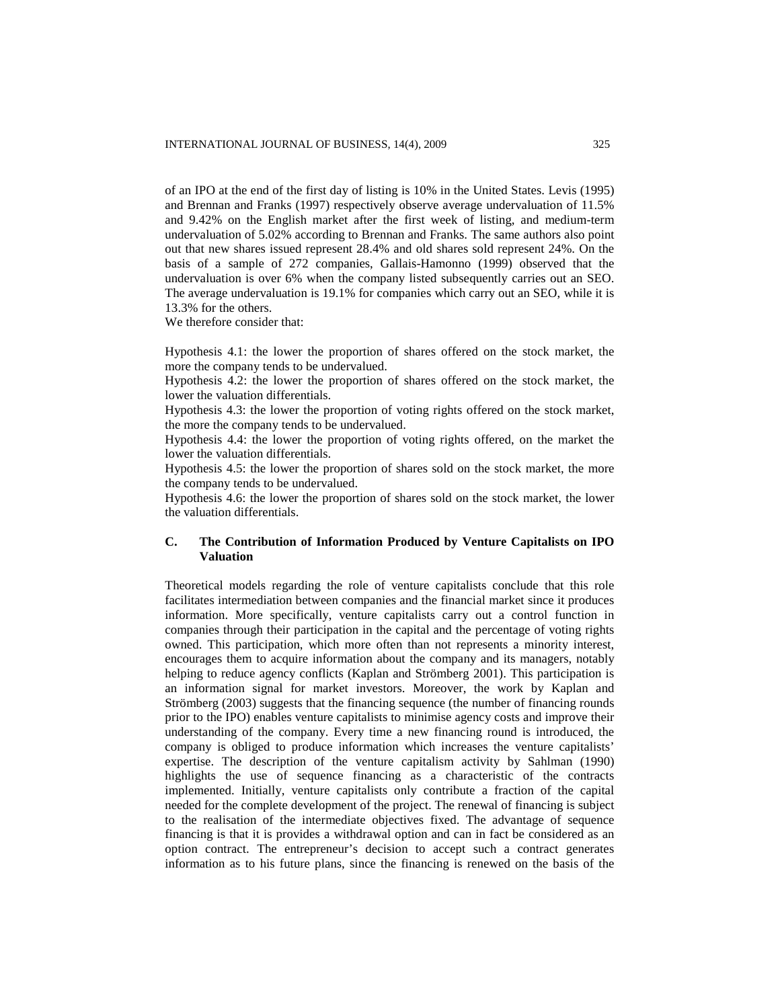of an IPO at the end of the first day of listing is 10% in the United States. Levis (1995) and Brennan and Franks (1997) respectively observe average undervaluation of 11.5% and 9.42% on the English market after the first week of listing, and medium-term undervaluation of 5.02% according to Brennan and Franks. The same authors also point out that new shares issued represent 28.4% and old shares sold represent 24%. On the basis of a sample of 272 companies, Gallais-Hamonno (1999) observed that the undervaluation is over 6% when the company listed subsequently carries out an SEO. The average undervaluation is 19.1% for companies which carry out an SEO, while it is 13.3% for the others.

We therefore consider that:

Hypothesis 4.1: the lower the proportion of shares offered on the stock market, the more the company tends to be undervalued.

Hypothesis 4.2: the lower the proportion of shares offered on the stock market, the lower the valuation differentials.

Hypothesis 4.3: the lower the proportion of voting rights offered on the stock market, the more the company tends to be undervalued.

Hypothesis 4.4: the lower the proportion of voting rights offered, on the market the lower the valuation differentials.

Hypothesis 4.5: the lower the proportion of shares sold on the stock market, the more the company tends to be undervalued.

Hypothesis 4.6: the lower the proportion of shares sold on the stock market, the lower the valuation differentials.

# **C. The Contribution of Information Produced by Venture Capitalists on IPO Valuation**

Theoretical models regarding the role of venture capitalists conclude that this role facilitates intermediation between companies and the financial market since it produces information. More specifically, venture capitalists carry out a control function in companies through their participation in the capital and the percentage of voting rights owned. This participation, which more often than not represents a minority interest, encourages them to acquire information about the company and its managers, notably helping to reduce agency conflicts (Kaplan and Strömberg 2001). This participation is an information signal for market investors. Moreover, the work by Kaplan and Strömberg (2003) suggests that the financing sequence (the number of financing rounds prior to the IPO) enables venture capitalists to minimise agency costs and improve their understanding of the company. Every time a new financing round is introduced, the company is obliged to produce information which increases the venture capitalists' expertise. The description of the venture capitalism activity by Sahlman (1990) highlights the use of sequence financing as a characteristic of the contracts implemented. Initially, venture capitalists only contribute a fraction of the capital needed for the complete development of the project. The renewal of financing is subject to the realisation of the intermediate objectives fixed. The advantage of sequence financing is that it is provides a withdrawal option and can in fact be considered as an option contract. The entrepreneur's decision to accept such a contract generates information as to his future plans, since the financing is renewed on the basis of the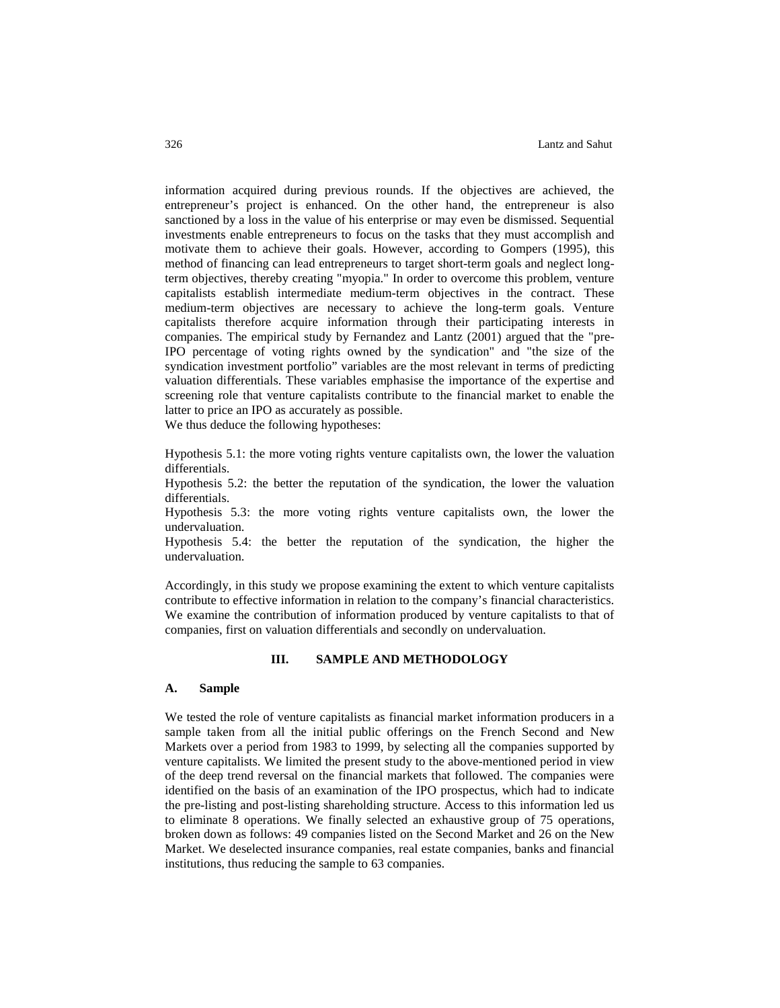information acquired during previous rounds. If the objectives are achieved, the entrepreneur's project is enhanced. On the other hand, the entrepreneur is also sanctioned by a loss in the value of his enterprise or may even be dismissed. Sequential investments enable entrepreneurs to focus on the tasks that they must accomplish and motivate them to achieve their goals. However, according to Gompers (1995), this method of financing can lead entrepreneurs to target short-term goals and neglect longterm objectives, thereby creating "myopia." In order to overcome this problem, venture capitalists establish intermediate medium-term objectives in the contract. These medium-term objectives are necessary to achieve the long-term goals. Venture capitalists therefore acquire information through their participating interests in companies. The empirical study by Fernandez and Lantz (2001) argued that the "pre-IPO percentage of voting rights owned by the syndication" and "the size of the syndication investment portfolio" variables are the most relevant in terms of predicting valuation differentials. These variables emphasise the importance of the expertise and screening role that venture capitalists contribute to the financial market to enable the latter to price an IPO as accurately as possible.

We thus deduce the following hypotheses:

Hypothesis 5.1: the more voting rights venture capitalists own, the lower the valuation differentials.

Hypothesis 5.2: the better the reputation of the syndication, the lower the valuation differentials.

Hypothesis 5.3: the more voting rights venture capitalists own, the lower the undervaluation.

Hypothesis 5.4: the better the reputation of the syndication, the higher the undervaluation.

Accordingly, in this study we propose examining the extent to which venture capitalists contribute to effective information in relation to the company's financial characteristics. We examine the contribution of information produced by venture capitalists to that of companies, first on valuation differentials and secondly on undervaluation.

## **III. SAMPLE AND METHODOLOGY**

#### **A. Sample**

We tested the role of venture capitalists as financial market information producers in a sample taken from all the initial public offerings on the French Second and New Markets over a period from 1983 to 1999, by selecting all the companies supported by venture capitalists. We limited the present study to the above-mentioned period in view of the deep trend reversal on the financial markets that followed. The companies were identified on the basis of an examination of the IPO prospectus, which had to indicate the pre-listing and post-listing shareholding structure. Access to this information led us to eliminate 8 operations. We finally selected an exhaustive group of 75 operations, broken down as follows: 49 companies listed on the Second Market and 26 on the New Market. We deselected insurance companies, real estate companies, banks and financial institutions, thus reducing the sample to 63 companies.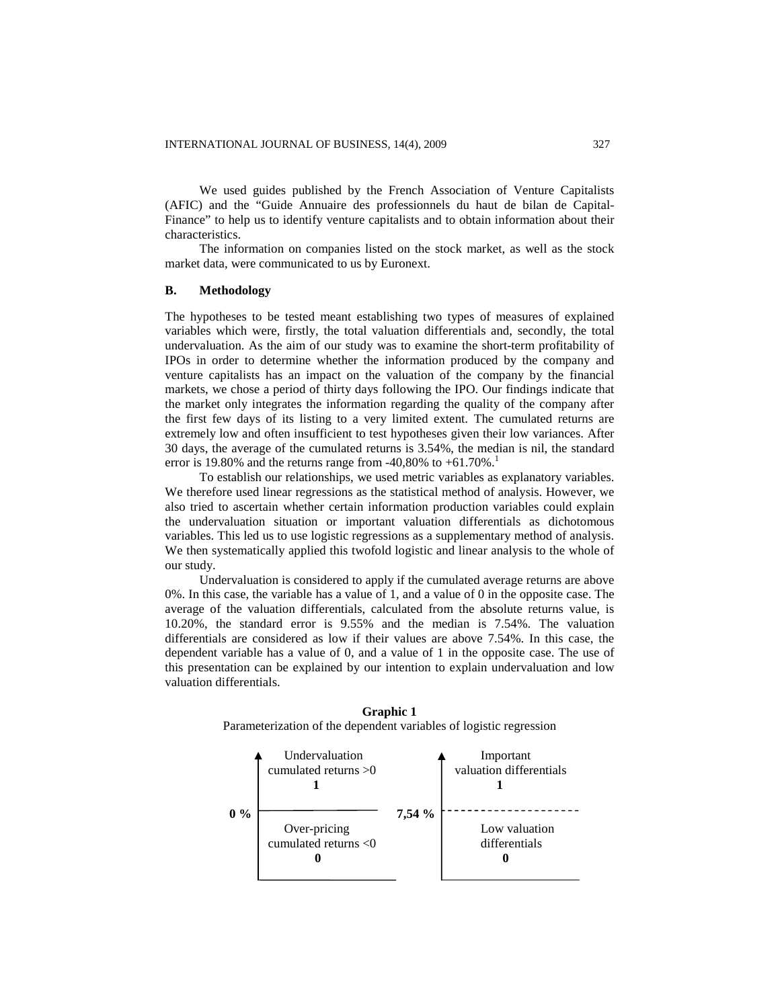We used guides published by the French Association of Venture Capitalists (AFIC) and the "Guide Annuaire des professionnels du haut de bilan de Capital-Finance" to help us to identify venture capitalists and to obtain information about their characteristics.

The information on companies listed on the stock market, as well as the stock market data, were communicated to us by Euronext.

#### **B. Methodology**

The hypotheses to be tested meant establishing two types of measures of explained variables which were, firstly, the total valuation differentials and, secondly, the total undervaluation. As the aim of our study was to examine the short-term profitability of IPOs in order to determine whether the information produced by the company and venture capitalists has an impact on the valuation of the company by the financial markets, we chose a period of thirty days following the IPO. Our findings indicate that the market only integrates the information regarding the quality of the company after the first few days of its listing to a very limited extent. The cumulated returns are extremely low and often insufficient to test hypotheses given their low variances. After 30 days, the average of the cumulated returns is 3.54%, the median is nil, the standard error is 19.80% and the returns range from -40,80% to  $+61.70\%$ .

To establish our relationships, we used metric variables as explanatory variables. We therefore used linear regressions as the statistical method of analysis. However, we also tried to ascertain whether certain information production variables could explain the undervaluation situation or important valuation differentials as dichotomous variables. This led us to use logistic regressions as a supplementary method of analysis. We then systematically applied this twofold logistic and linear analysis to the whole of our study.

Undervaluation is considered to apply if the cumulated average returns are above 0%. In this case, the variable has a value of 1, and a value of 0 in the opposite case. The average of the valuation differentials, calculated from the absolute returns value, is 10.20%, the standard error is 9.55% and the median is 7.54%. The valuation differentials are considered as low if their values are above 7.54%. In this case, the dependent variable has a value of 0, and a value of 1 in the opposite case. The use of this presentation can be explained by our intention to explain undervaluation and low valuation differentials.



**Graphic 1** Parameterization of the dependent variables of logistic regression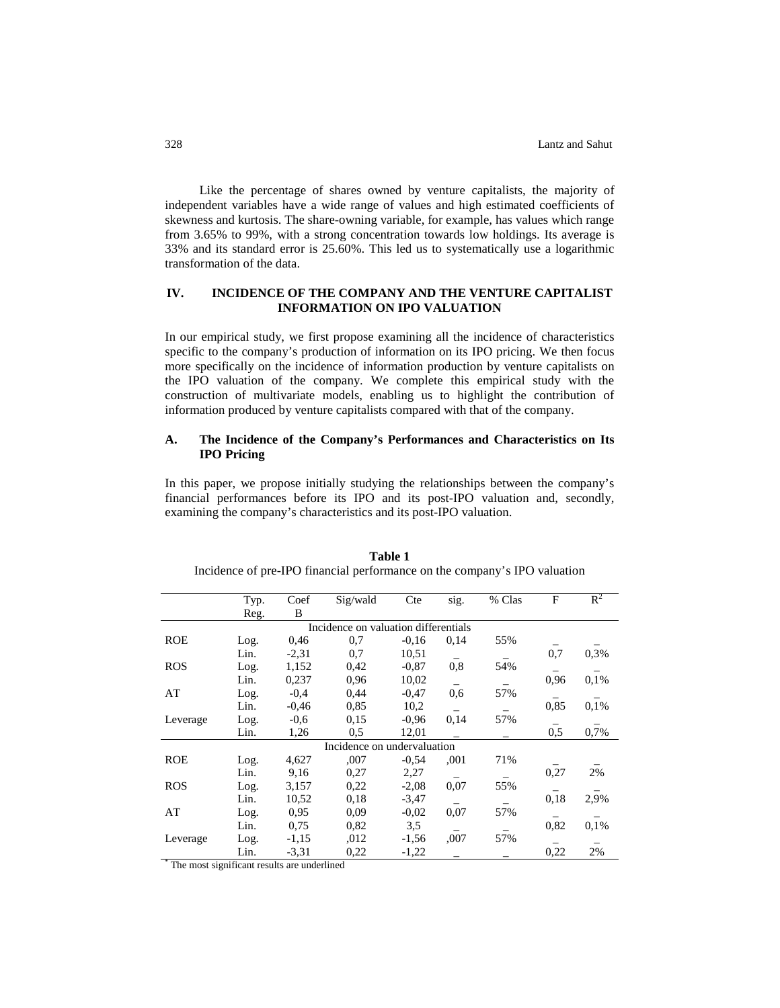Like the percentage of shares owned by venture capitalists, the majority of independent variables have a wide range of values and high estimated coefficients of skewness and kurtosis. The share-owning variable, for example, has values which range from 3.65% to 99%, with a strong concentration towards low holdings. Its average is 33% and its standard error is 25.60%. This led us to systematically use a logarithmic transformation of the data.

# **IV. INCIDENCE OF THE COMPANY AND THE VENTURE CAPITALIST INFORMATION ON IPO VALUATION**

In our empirical study, we first propose examining all the incidence of characteristics specific to the company's production of information on its IPO pricing. We then focus more specifically on the incidence of information production by venture capitalists on the IPO valuation of the company. We complete this empirical study with the construction of multivariate models, enabling us to highlight the contribution of information produced by venture capitalists compared with that of the company.

## **A. The Incidence of the Company's Performances and Characteristics on Its IPO Pricing**

In this paper, we propose initially studying the relationships between the company's financial performances before its IPO and its post-IPO valuation and, secondly, examining the company's characteristics and its post-IPO valuation.

|                                      | Typ. | Coef    | Sig/wald                    | Cte     | sig. | % Clas | F    | $R^2$ |  |
|--------------------------------------|------|---------|-----------------------------|---------|------|--------|------|-------|--|
|                                      | Reg. | B       |                             |         |      |        |      |       |  |
| Incidence on valuation differentials |      |         |                             |         |      |        |      |       |  |
| <b>ROE</b>                           | Log. | 0,46    | 0.7                         | $-0.16$ | 0,14 | 55%    |      |       |  |
|                                      | Lin. | $-2,31$ | 0,7                         | 10,51   |      |        | 0,7  | 0,3%  |  |
| <b>ROS</b>                           | Log. | 1,152   | 0.42                        | $-0.87$ | 0,8  | 54%    |      |       |  |
|                                      | Lin. | 0,237   | 0.96                        | 10,02   |      |        | 0,96 | 0.1%  |  |
| AT                                   | Log. | $-0.4$  | 0,44                        | $-0.47$ | 0,6  | 57%    |      |       |  |
|                                      | Lin. | $-0.46$ | 0.85                        | 10,2    |      |        | 0,85 | 0.1%  |  |
| Leverage                             | Log. | $-0.6$  | 0.15                        | $-0.96$ | 0,14 | 57%    |      |       |  |
|                                      | Lin. | 1,26    | 0,5                         | 12,01   |      |        | 0,5  | 0,7%  |  |
|                                      |      |         | Incidence on undervaluation |         |      |        |      |       |  |
| <b>ROE</b>                           | Log. | 4,627   | ,007                        | $-0.54$ | ,001 | 71%    |      |       |  |
|                                      | Lin. | 9,16    | 0,27                        | 2,27    |      |        | 0,27 | 2%    |  |
| <b>ROS</b>                           | Log. | 3,157   | 0.22                        | $-2,08$ | 0,07 | 55%    |      |       |  |
|                                      | Lin. | 10,52   | 0.18                        | $-3,47$ |      |        | 0,18 | 2,9%  |  |
| AT                                   | Log. | 0.95    | 0.09                        | $-0.02$ | 0,07 | 57%    |      |       |  |
|                                      | Lin. | 0.75    | 0,82                        | 3,5     |      |        | 0,82 | 0,1%  |  |
| Leverage                             | Log. | $-1,15$ | .012                        | $-1,56$ | ,007 | 57%    |      |       |  |
|                                      | Lin. | $-3,31$ | 0,22                        | $-1,22$ |      |        | 0,22 | 2%    |  |

**Table 1** Incidence of pre-IPO financial performance on the company's IPO valuation

\* The most significant results are underlined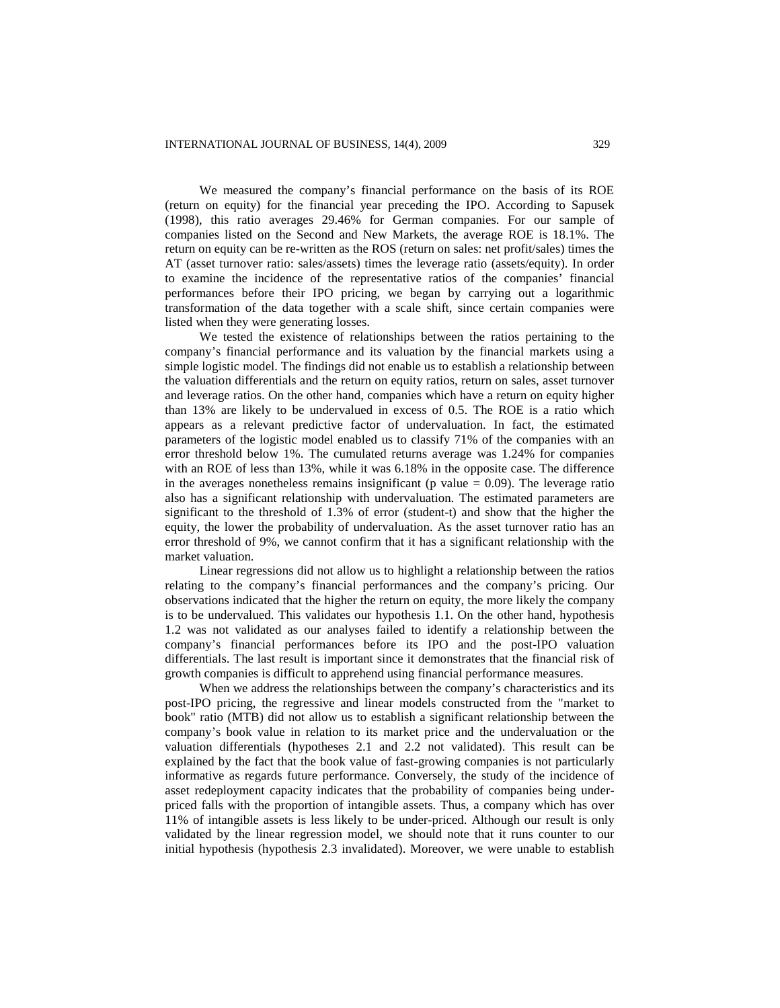We measured the company's financial performance on the basis of its ROE (return on equity) for the financial year preceding the IPO. According to Sapusek (1998), this ratio averages 29.46% for German companies. For our sample of companies listed on the Second and New Markets, the average ROE is 18.1%. The return on equity can be re-written as the ROS (return on sales: net profit/sales) times the AT (asset turnover ratio: sales/assets) times the leverage ratio (assets/equity). In order to examine the incidence of the representative ratios of the companies' financial performances before their IPO pricing, we began by carrying out a logarithmic transformation of the data together with a scale shift, since certain companies were listed when they were generating losses.

We tested the existence of relationships between the ratios pertaining to the company's financial performance and its valuation by the financial markets using a simple logistic model. The findings did not enable us to establish a relationship between the valuation differentials and the return on equity ratios, return on sales, asset turnover and leverage ratios. On the other hand, companies which have a return on equity higher than 13% are likely to be undervalued in excess of 0.5. The ROE is a ratio which appears as a relevant predictive factor of undervaluation. In fact, the estimated parameters of the logistic model enabled us to classify 71% of the companies with an error threshold below 1%. The cumulated returns average was 1.24% for companies with an ROE of less than 13%, while it was 6.18% in the opposite case. The difference in the averages nonetheless remains insignificant ( $p$  value  $= 0.09$ ). The leverage ratio also has a significant relationship with undervaluation. The estimated parameters are significant to the threshold of 1.3% of error (student-t) and show that the higher the equity, the lower the probability of undervaluation. As the asset turnover ratio has an error threshold of 9%, we cannot confirm that it has a significant relationship with the market valuation.

Linear regressions did not allow us to highlight a relationship between the ratios relating to the company's financial performances and the company's pricing. Our observations indicated that the higher the return on equity, the more likely the company is to be undervalued. This validates our hypothesis 1.1. On the other hand, hypothesis 1.2 was not validated as our analyses failed to identify a relationship between the company's financial performances before its IPO and the post-IPO valuation differentials. The last result is important since it demonstrates that the financial risk of growth companies is difficult to apprehend using financial performance measures.

When we address the relationships between the company's characteristics and its post-IPO pricing, the regressive and linear models constructed from the "market to book" ratio (MTB) did not allow us to establish a significant relationship between the company's book value in relation to its market price and the undervaluation or the valuation differentials (hypotheses 2.1 and 2.2 not validated). This result can be explained by the fact that the book value of fast-growing companies is not particularly informative as regards future performance. Conversely, the study of the incidence of asset redeployment capacity indicates that the probability of companies being underpriced falls with the proportion of intangible assets. Thus, a company which has over 11% of intangible assets is less likely to be under-priced. Although our result is only validated by the linear regression model, we should note that it runs counter to our initial hypothesis (hypothesis 2.3 invalidated). Moreover, we were unable to establish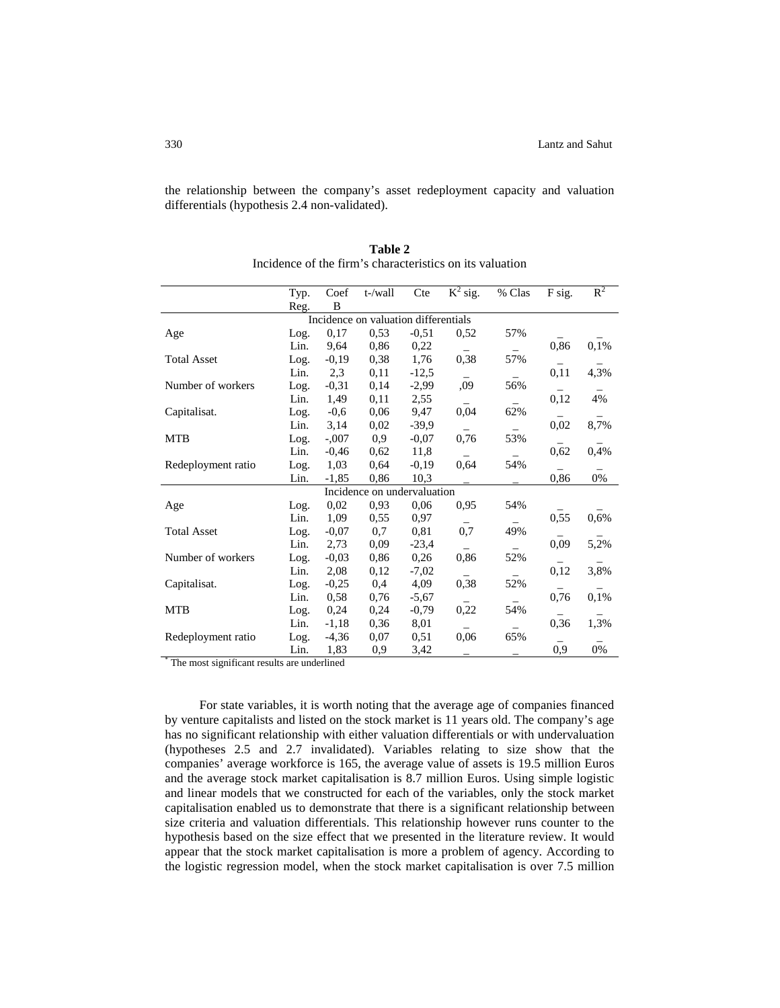the relationship between the company's asset redeployment capacity and valuation differentials (hypothesis 2.4 non-validated).

|                    | Typ. | Coef    | t-/wall                              | Cte     | $K^2$ sig. | % Clas | F sig. | $R^2$ |
|--------------------|------|---------|--------------------------------------|---------|------------|--------|--------|-------|
|                    | Reg. | B       |                                      |         |            |        |        |       |
|                    |      |         | Incidence on valuation differentials |         |            |        |        |       |
| Age                | Log. | 0,17    | 0,53                                 | $-0,51$ | 0.52       | 57%    |        |       |
|                    | Lin. | 9,64    | 0,86                                 | 0,22    |            |        | 0,86   | 0,1%  |
| <b>Total Asset</b> | Log. | $-0,19$ | 0,38                                 | 1,76    | 0,38       | 57%    |        |       |
|                    | Lin. | 2,3     | 0,11                                 | $-12,5$ |            |        | 0,11   | 4,3%  |
| Number of workers  | Log. | $-0,31$ | 0,14                                 | $-2,99$ | ,09        | 56%    |        |       |
|                    | Lin. | 1,49    | 0,11                                 | 2,55    |            |        | 0,12   | 4%    |
| Capitalisat.       | Log. | $-0,6$  | 0,06                                 | 9,47    | 0,04       | 62%    |        |       |
|                    | Lin. | 3,14    | 0,02                                 | $-39,9$ |            |        | 0,02   | 8,7%  |
| <b>MTB</b>         | Log. | $-.007$ | 0,9                                  | $-0,07$ | 0,76       | 53%    |        |       |
|                    | Lin. | $-0.46$ | 0.62                                 | 11,8    |            |        | 0,62   | 0,4%  |
| Redeployment ratio | Log. | 1,03    | 0.64                                 | $-0,19$ | 0.64       | 54%    |        |       |
|                    | Lin. | $-1,85$ | 0,86                                 | 10,3    |            |        | 0,86   | $0\%$ |
|                    |      |         | Incidence on undervaluation          |         |            |        |        |       |
| Age                | Log. | 0,02    | 0,93                                 | 0,06    | 0.95       | 54%    |        |       |
|                    | Lin. | 1,09    | 0.55                                 | 0,97    |            |        | 0,55   | 0,6%  |
| <b>Total Asset</b> | Log. | $-0,07$ | 0,7                                  | 0,81    | 0,7        | 49%    |        |       |
|                    | Lin. | 2,73    | 0,09                                 | $-23,4$ |            |        | 0,09   | 5,2%  |
| Number of workers  | Log. | $-0,03$ | 0,86                                 | 0,26    | 0,86       | 52%    |        |       |
|                    | Lin. | 2,08    | 0.12                                 | $-7,02$ |            |        | 0,12   | 3,8%  |
| Capitalisat.       | Log. | $-0,25$ | 0,4                                  | 4,09    | 0,38       | 52%    |        |       |
|                    | Lin. | 0,58    | 0,76                                 | $-5,67$ |            |        | 0,76   | 0,1%  |
| <b>MTB</b>         | Log. | 0,24    | 0.24                                 | $-0,79$ | 0,22       | 54%    |        |       |
|                    | Lin. | $-1,18$ | 0.36                                 | 8,01    |            |        | 0,36   | 1,3%  |
| Redeployment ratio | Log. | $-4,36$ | 0,07                                 | 0,51    | 0,06       | 65%    |        |       |
|                    | Lin. | 1,83    | 0,9                                  | 3,42    |            |        | 0,9    | 0%    |

**Table 2** Incidence of the firm's characteristics on its valuation

\* The most significant results are underlined

For state variables, it is worth noting that the average age of companies financed by venture capitalists and listed on the stock market is 11 years old. The company's age has no significant relationship with either valuation differentials or with undervaluation (hypotheses 2.5 and 2.7 invalidated). Variables relating to size show that the companies' average workforce is 165, the average value of assets is 19.5 million Euros and the average stock market capitalisation is 8.7 million Euros. Using simple logistic and linear models that we constructed for each of the variables, only the stock market capitalisation enabled us to demonstrate that there is a significant relationship between size criteria and valuation differentials. This relationship however runs counter to the hypothesis based on the size effect that we presented in the literature review. It would appear that the stock market capitalisation is more a problem of agency. According to the logistic regression model, when the stock market capitalisation is over 7.5 million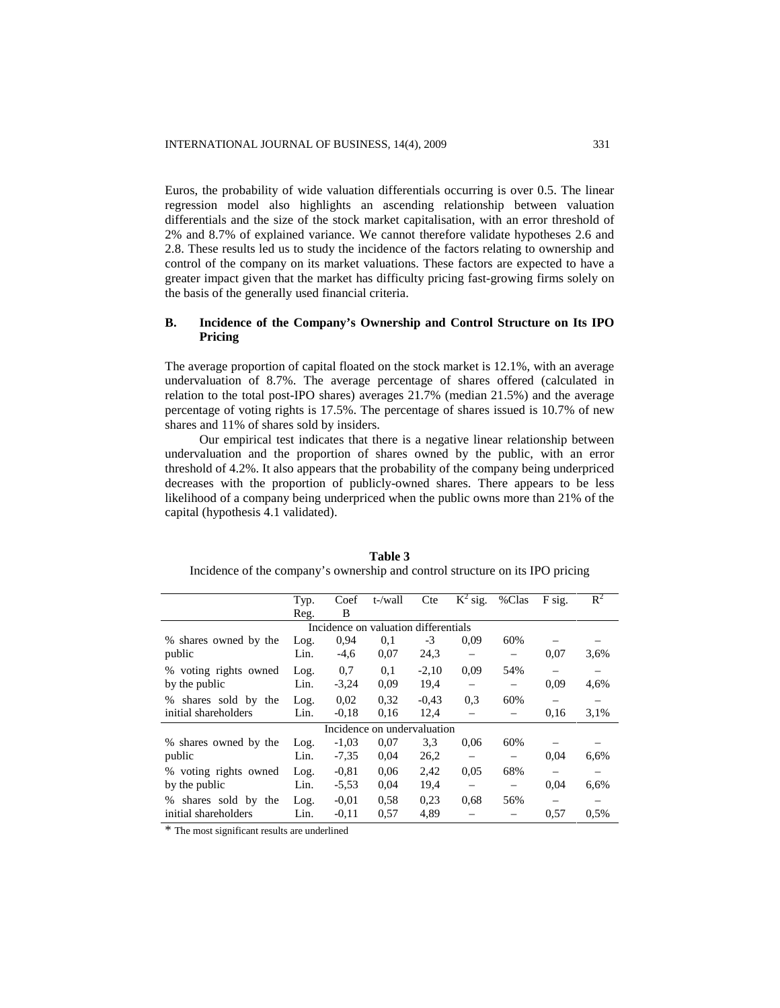Euros, the probability of wide valuation differentials occurring is over 0.5. The linear regression model also highlights an ascending relationship between valuation differentials and the size of the stock market capitalisation, with an error threshold of 2% and 8.7% of explained variance. We cannot therefore validate hypotheses 2.6 and 2.8. These results led us to study the incidence of the factors relating to ownership and control of the company on its market valuations. These factors are expected to have a greater impact given that the market has difficulty pricing fast-growing firms solely on the basis of the generally used financial criteria.

# **B. Incidence of the Company's Ownership and Control Structure on Its IPO Pricing**

The average proportion of capital floated on the stock market is 12.1%, with an average undervaluation of 8.7%. The average percentage of shares offered (calculated in relation to the total post-IPO shares) averages 21.7% (median 21.5%) and the average percentage of voting rights is 17.5%. The percentage of shares issued is 10.7% of new shares and 11% of shares sold by insiders.

Our empirical test indicates that there is a negative linear relationship between undervaluation and the proportion of shares owned by the public, with an error threshold of 4.2%. It also appears that the probability of the company being underpriced decreases with the proportion of publicly-owned shares. There appears to be less likelihood of a company being underpriced when the public owns more than 21% of the capital (hypothesis 4.1 validated).

|                         | Typ.                                 | Coef    | t-/wall                     | Cte     | $K^2$ sig. | %Clas             | F sig. | $R^2$ |  |  |
|-------------------------|--------------------------------------|---------|-----------------------------|---------|------------|-------------------|--------|-------|--|--|
|                         | Reg.                                 | B       |                             |         |            |                   |        |       |  |  |
|                         | Incidence on valuation differentials |         |                             |         |            |                   |        |       |  |  |
| % shares owned by the   | Log.                                 | 0.94    | 0,1                         | $-3$    | 0.09       | 60%               |        |       |  |  |
| public                  | Lin.                                 | $-4,6$  | 0,07                        | 24,3    |            |                   | 0,07   | 3.6%  |  |  |
| % voting rights owned   | Log.                                 | 0.7     | 0.1                         | $-2,10$ | 0.09       | 54%               |        |       |  |  |
| by the public           | Lin.                                 | $-3,24$ | 0.09                        | 19,4    |            |                   | 0.09   | 4,6%  |  |  |
| shares sold by the<br>% | Log.                                 | 0,02    | 0,32                        | $-0.43$ | 0.3        | 60%               |        |       |  |  |
| initial shareholders    | Lin.                                 | $-0.18$ | 0,16                        | 12,4    |            |                   | 0,16   | 3.1%  |  |  |
|                         |                                      |         | Incidence on undervaluation |         |            |                   |        |       |  |  |
| % shares owned by the   | Log.                                 | $-1,03$ | 0,07                        | 3.3     | 0,06       | 60%               |        |       |  |  |
| public                  | Lin.                                 | $-7,35$ | 0,04                        | 26,2    |            |                   | 0.04   | 6,6%  |  |  |
| % voting rights owned   | Log.                                 | $-0.81$ | 0,06                        | 2,42    | 0.05       | 68%               |        |       |  |  |
| by the public           | Lin.                                 | $-5,53$ | 0,04                        | 19,4    |            | $\qquad \qquad -$ | 0.04   | 6,6%  |  |  |
| shares sold by the<br>% | Log.                                 | $-0.01$ | 0.58                        | 0,23    | 0.68       | 56%               |        |       |  |  |
| initial shareholders    | Lin.                                 | $-0.11$ | 0.57                        | 4,89    |            |                   | 0.57   | 0.5%  |  |  |

**Table 3** Incidence of the company's ownership and control structure on its IPO pricing

\* The most significant results are underlined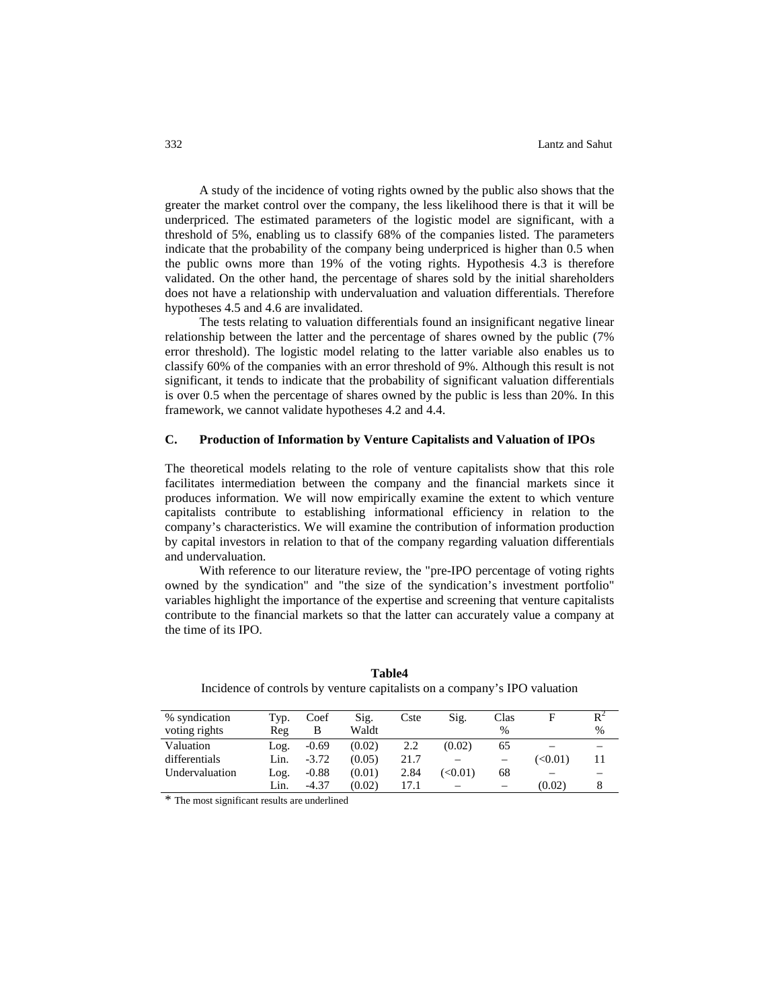A study of the incidence of voting rights owned by the public also shows that the greater the market control over the company, the less likelihood there is that it will be underpriced. The estimated parameters of the logistic model are significant, with a threshold of 5%, enabling us to classify 68% of the companies listed. The parameters indicate that the probability of the company being underpriced is higher than 0.5 when the public owns more than 19% of the voting rights. Hypothesis 4.3 is therefore validated. On the other hand, the percentage of shares sold by the initial shareholders does not have a relationship with undervaluation and valuation differentials. Therefore hypotheses 4.5 and 4.6 are invalidated.

The tests relating to valuation differentials found an insignificant negative linear relationship between the latter and the percentage of shares owned by the public (7% error threshold). The logistic model relating to the latter variable also enables us to classify 60% of the companies with an error threshold of 9%. Although this result is not significant, it tends to indicate that the probability of significant valuation differentials is over 0.5 when the percentage of shares owned by the public is less than 20%. In this framework, we cannot validate hypotheses 4.2 and 4.4.

#### **C. Production of Information by Venture Capitalists and Valuation of IPOs**

The theoretical models relating to the role of venture capitalists show that this role facilitates intermediation between the company and the financial markets since it produces information. We will now empirically examine the extent to which venture capitalists contribute to establishing informational efficiency in relation to the company's characteristics. We will examine the contribution of information production by capital investors in relation to that of the company regarding valuation differentials and undervaluation.

With reference to our literature review, the "pre-IPO percentage of voting rights owned by the syndication" and "the size of the syndication's investment portfolio" variables highlight the importance of the expertise and screening that venture capitalists contribute to the financial markets so that the latter can accurately value a company at the time of its IPO.

| % syndication  | Typ. | Coef    | Sig.   | Cste | Sig.         | Clas                     |               | D <sup>2</sup> |
|----------------|------|---------|--------|------|--------------|--------------------------|---------------|----------------|
| voting rights  | Reg  | в       | Waldt  |      |              | $\%$                     |               | $\%$           |
| Valuation      | Log. | $-0.69$ | (0.02) | 2.2  | (0.02)       | 65                       |               |                |
| differentials  | Lin. | $-3.72$ | (0.05) | 21.7 |              |                          | $(\leq 0.01)$ |                |
| Undervaluation | Log. | $-0.88$ | (0.01) | 2.84 | $(\le 0.01)$ | 68                       |               |                |
|                | Lin. | $-4.37$ | (0.02) | 17.1 | -            | $\overline{\phantom{0}}$ | (0.02)        |                |

**Table4** Incidence of controls by venture capitalists on a company's IPO valuation

\* The most significant results are underlined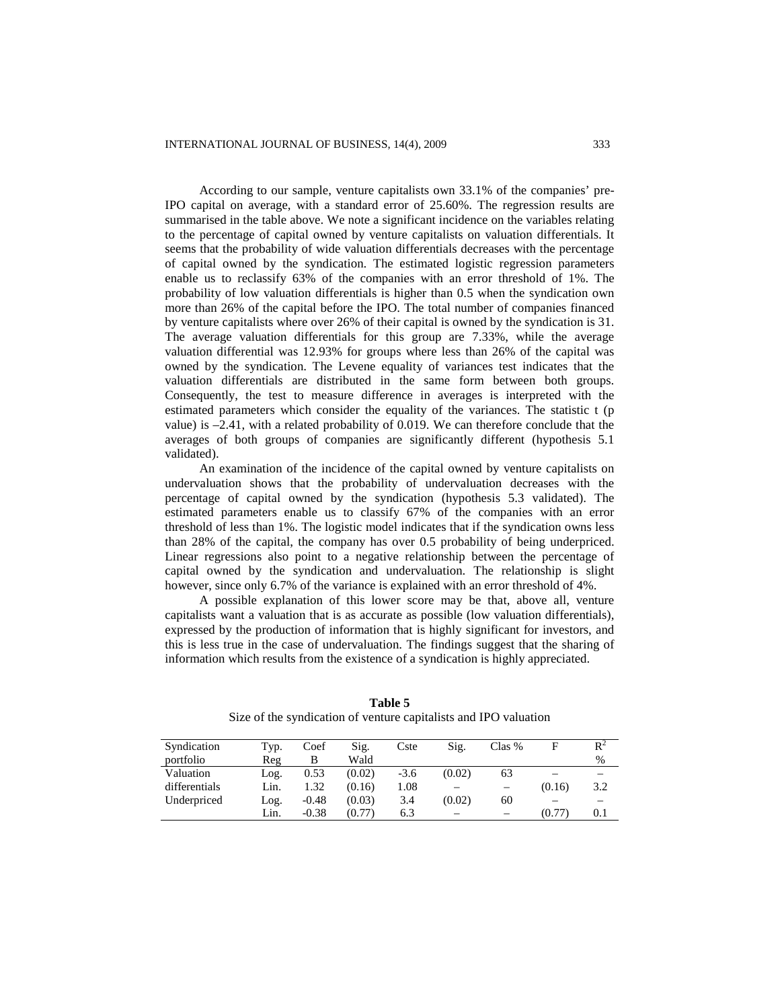According to our sample, venture capitalists own 33.1% of the companies' pre-IPO capital on average, with a standard error of 25.60%. The regression results are summarised in the table above. We note a significant incidence on the variables relating to the percentage of capital owned by venture capitalists on valuation differentials. It seems that the probability of wide valuation differentials decreases with the percentage of capital owned by the syndication. The estimated logistic regression parameters enable us to reclassify 63% of the companies with an error threshold of 1%. The probability of low valuation differentials is higher than 0.5 when the syndication own more than 26% of the capital before the IPO. The total number of companies financed by venture capitalists where over 26% of their capital is owned by the syndication is 31. The average valuation differentials for this group are 7.33%, while the average valuation differential was 12.93% for groups where less than 26% of the capital was owned by the syndication. The Levene equality of variances test indicates that the valuation differentials are distributed in the same form between both groups. Consequently, the test to measure difference in averages is interpreted with the estimated parameters which consider the equality of the variances. The statistic t (p value) is –2.41, with a related probability of 0.019. We can therefore conclude that the averages of both groups of companies are significantly different (hypothesis 5.1 validated).

An examination of the incidence of the capital owned by venture capitalists on undervaluation shows that the probability of undervaluation decreases with the percentage of capital owned by the syndication (hypothesis 5.3 validated). The estimated parameters enable us to classify 67% of the companies with an error threshold of less than 1%. The logistic model indicates that if the syndication owns less than 28% of the capital, the company has over 0.5 probability of being underpriced. Linear regressions also point to a negative relationship between the percentage of capital owned by the syndication and undervaluation. The relationship is slight however, since only 6.7% of the variance is explained with an error threshold of 4%.

A possible explanation of this lower score may be that, above all, venture capitalists want a valuation that is as accurate as possible (low valuation differentials), expressed by the production of information that is highly significant for investors, and this is less true in the case of undervaluation. The findings suggest that the sharing of information which results from the existence of a syndication is highly appreciated.

| Syndication   | Typ. | Coef    | Sig.   | Cste   | Sig.   | Clas %                   | F      | $R^2$ |
|---------------|------|---------|--------|--------|--------|--------------------------|--------|-------|
| portfolio     | Reg  | В       | Wald   |        |        |                          |        | %     |
| Valuation     | Log. | 0.53    | (0.02) | $-3.6$ | (0.02) | 63                       | -      |       |
| differentials | Lin. | 1.32    | (0.16) | 1.08   |        | $\overline{\phantom{0}}$ | (0.16) | 3.2   |
| Underpriced   | Log. | $-0.48$ | (0.03) | 3.4    | (0.02) | 60                       |        |       |
|               | Lin. | $-0.38$ | (0.77) | 6.3    |        |                          | (0.77) | 0.1   |

**Table 5** Size of the syndication of venture capitalists and IPO valuation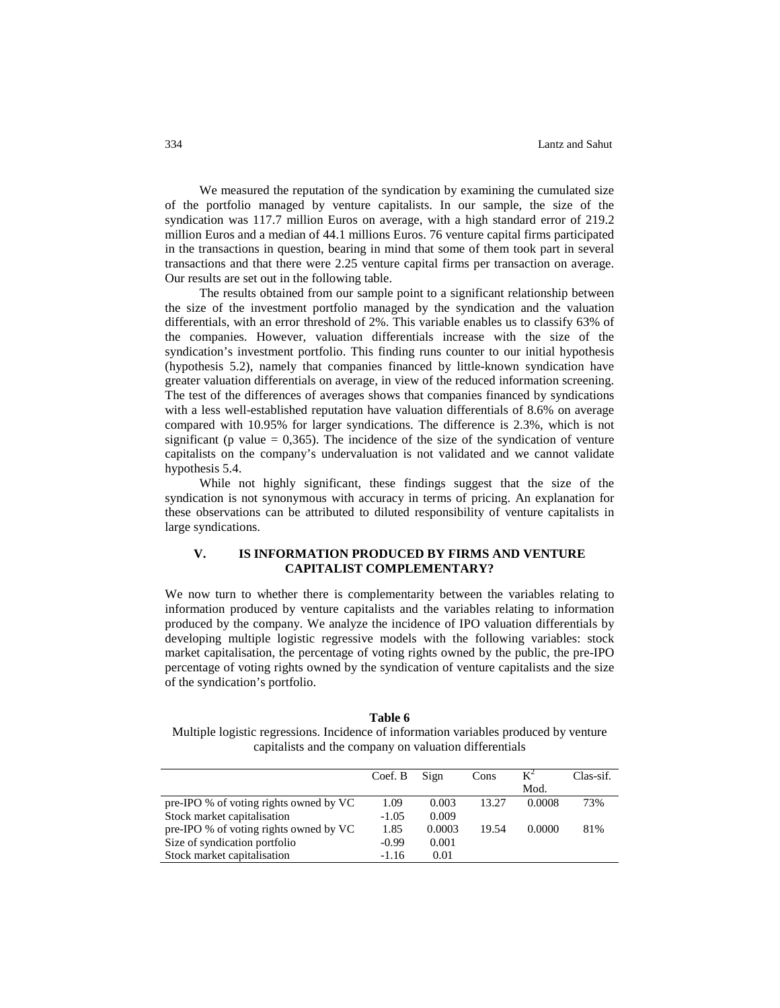We measured the reputation of the syndication by examining the cumulated size of the portfolio managed by venture capitalists. In our sample, the size of the syndication was 117.7 million Euros on average, with a high standard error of 219.2 million Euros and a median of 44.1 millions Euros. 76 venture capital firms participated in the transactions in question, bearing in mind that some of them took part in several transactions and that there were 2.25 venture capital firms per transaction on average. Our results are set out in the following table.

The results obtained from our sample point to a significant relationship between the size of the investment portfolio managed by the syndication and the valuation differentials, with an error threshold of 2%. This variable enables us to classify 63% of the companies. However, valuation differentials increase with the size of the syndication's investment portfolio. This finding runs counter to our initial hypothesis (hypothesis 5.2), namely that companies financed by little-known syndication have greater valuation differentials on average, in view of the reduced information screening. The test of the differences of averages shows that companies financed by syndications with a less well-established reputation have valuation differentials of 8.6% on average compared with 10.95% for larger syndications. The difference is 2.3%, which is not significant (p value  $= 0,365$ ). The incidence of the size of the syndication of venture capitalists on the company's undervaluation is not validated and we cannot validate hypothesis 5.4.

While not highly significant, these findings suggest that the size of the syndication is not synonymous with accuracy in terms of pricing. An explanation for these observations can be attributed to diluted responsibility of venture capitalists in large syndications.

# **V. IS INFORMATION PRODUCED BY FIRMS AND VENTURE CAPITALIST COMPLEMENTARY?**

We now turn to whether there is complementarity between the variables relating to information produced by venture capitalists and the variables relating to information produced by the company. We analyze the incidence of IPO valuation differentials by developing multiple logistic regressive models with the following variables: stock market capitalisation, the percentage of voting rights owned by the public, the pre-IPO percentage of voting rights owned by the syndication of venture capitalists and the size of the syndication's portfolio.

**Table 6** Multiple logistic regressions. Incidence of information variables produced by venture capitalists and the company on valuation differentials

|                                        | Coef. B | Sign   | Cons  | $K^2$  | Clas-sif. |
|----------------------------------------|---------|--------|-------|--------|-----------|
|                                        |         |        |       | Mod.   |           |
| pre-IPO % of voting rights owned by VC | 1.09    | 0.003  | 13.27 | 0.0008 | 73%       |
| Stock market capitalisation            | $-1.05$ | 0.009  |       |        |           |
| pre-IPO % of voting rights owned by VC | 1.85    | 0.0003 | 19.54 | 0.0000 | 81%       |
| Size of syndication portfolio          | $-0.99$ | 0.001  |       |        |           |
| Stock market capitalisation            | $-1.16$ | 0.01   |       |        |           |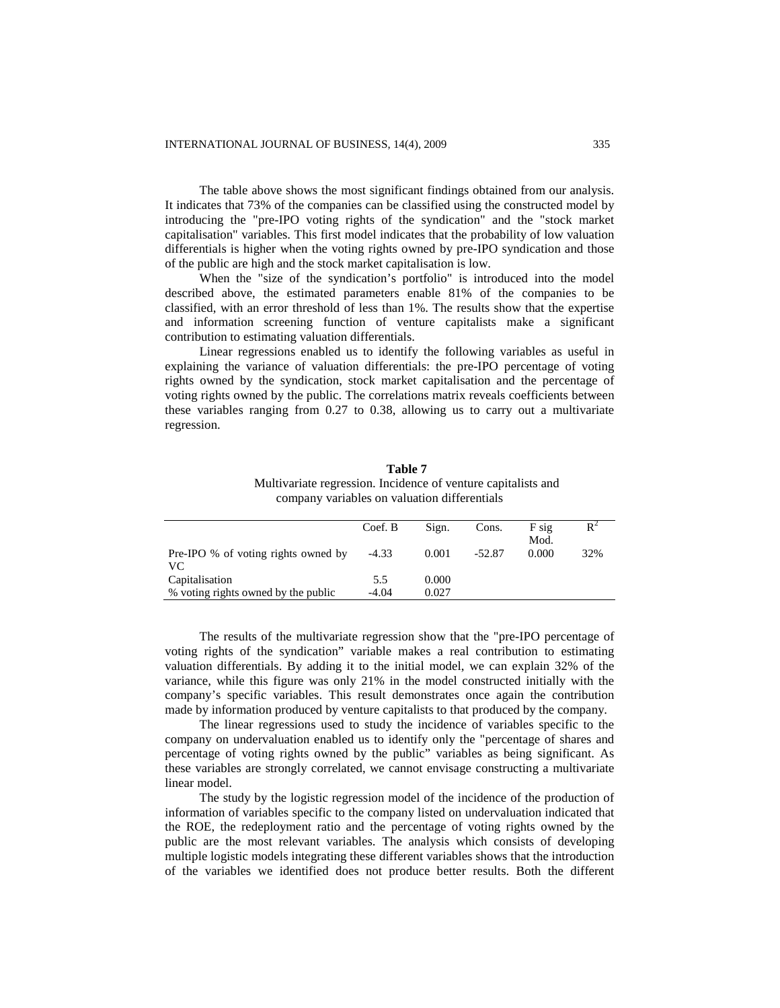The table above shows the most significant findings obtained from our analysis. It indicates that 73% of the companies can be classified using the constructed model by introducing the "pre-IPO voting rights of the syndication" and the "stock market capitalisation" variables. This first model indicates that the probability of low valuation differentials is higher when the voting rights owned by pre-IPO syndication and those of the public are high and the stock market capitalisation is low.

When the "size of the syndication's portfolio" is introduced into the model described above, the estimated parameters enable 81% of the companies to be classified, with an error threshold of less than 1%. The results show that the expertise and information screening function of venture capitalists make a significant contribution to estimating valuation differentials.

Linear regressions enabled us to identify the following variables as useful in explaining the variance of valuation differentials: the pre-IPO percentage of voting rights owned by the syndication, stock market capitalisation and the percentage of voting rights owned by the public. The correlations matrix reveals coefficients between these variables ranging from 0.27 to 0.38, allowing us to carry out a multivariate regression.

| company variables on valuation differentials |         |       |          |                 |       |  |  |
|----------------------------------------------|---------|-------|----------|-----------------|-------|--|--|
|                                              | Coef. B | Sign. | Cons.    | $F$ sig<br>Mod. | $R^2$ |  |  |
| Pre-IPO % of voting rights owned by<br>VС    | $-4.33$ | 0.001 | $-52.87$ | 0.000           | 32%   |  |  |
| Capitalisation                               | 5.5     | 0.000 |          |                 |       |  |  |
| % voting rights owned by the public          | $-4.04$ | 0.027 |          |                 |       |  |  |

**Table 7** Multivariate regression. Incidence of venture capitalists and

The results of the multivariate regression show that the "pre-IPO percentage of voting rights of the syndication" variable makes a real contribution to estimating valuation differentials. By adding it to the initial model, we can explain 32% of the variance, while this figure was only 21% in the model constructed initially with the company's specific variables. This result demonstrates once again the contribution made by information produced by venture capitalists to that produced by the company.

The linear regressions used to study the incidence of variables specific to the company on undervaluation enabled us to identify only the "percentage of shares and percentage of voting rights owned by the public" variables as being significant. As these variables are strongly correlated, we cannot envisage constructing a multivariate linear model.

The study by the logistic regression model of the incidence of the production of information of variables specific to the company listed on undervaluation indicated that the ROE, the redeployment ratio and the percentage of voting rights owned by the public are the most relevant variables. The analysis which consists of developing multiple logistic models integrating these different variables shows that the introduction of the variables we identified does not produce better results. Both the different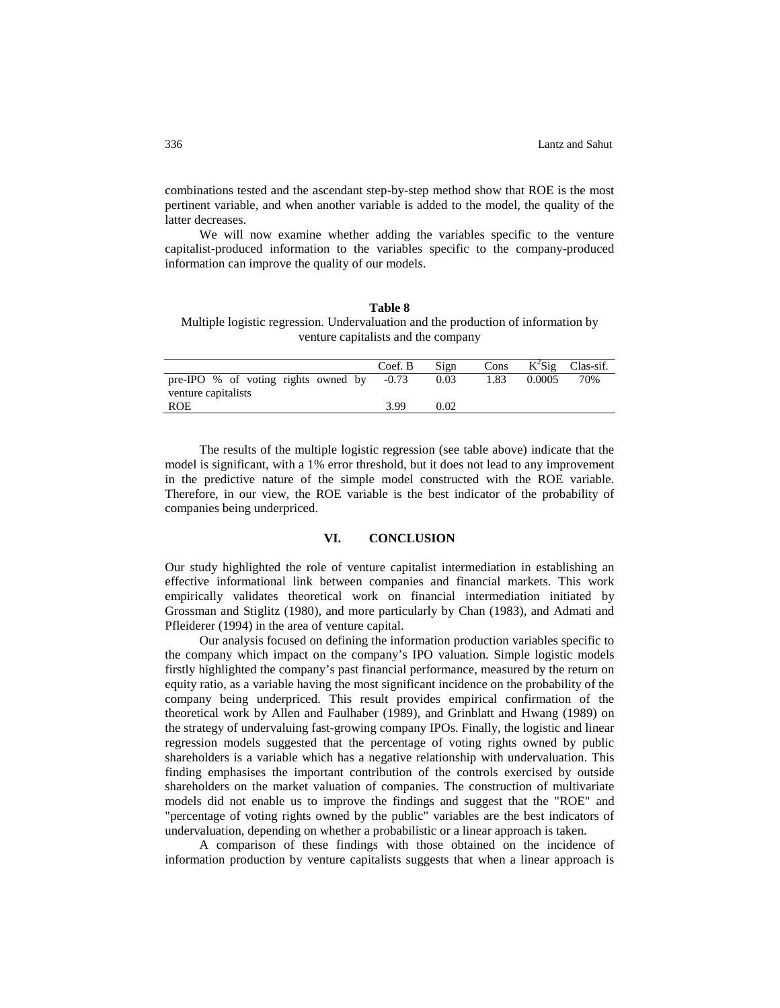combinations tested and the ascendant step-by-step method show that ROE is the most pertinent variable, and when another variable is added to the model, the quality of the latter decreases.

We will now examine whether adding the variables specific to the venture capitalist-produced information to the variables specific to the company-produced information can improve the quality of our models.

**Table 8** Multiple logistic regression. Undervaluation and the production of information by venture capitalists and the company

|                                               | Coef. B | Sign | Cons |        | $K^2$ Sig Clas-sif. |
|-----------------------------------------------|---------|------|------|--------|---------------------|
| pre-IPO $%$ of voting rights owned by $-0.73$ |         | 0.03 | 1.83 | 0.0005 | 70%                 |
| venture capitalists                           |         |      |      |        |                     |
| ROE                                           | 3.99    | 0.02 |      |        |                     |
|                                               |         |      |      |        |                     |

The results of the multiple logistic regression (see table above) indicate that the model is significant, with a 1% error threshold, but it does not lead to any improvement in the predictive nature of the simple model constructed with the ROE variable. Therefore, in our view, the ROE variable is the best indicator of the probability of companies being underpriced.

### **VI. CONCLUSION**

Our study highlighted the role of venture capitalist intermediation in establishing an effective informational link between companies and financial markets. This work empirically validates theoretical work on financial intermediation initiated by Grossman and Stiglitz (1980), and more particularly by Chan (1983), and Admati and Pfleiderer (1994) in the area of venture capital.

Our analysis focused on defining the information production variables specific to the company which impact on the company's IPO valuation. Simple logistic models firstly highlighted the company's past financial performance, measured by the return on equity ratio, as a variable having the most significant incidence on the probability of the company being underpriced. This result provides empirical confirmation of the theoretical work by Allen and Faulhaber (1989), and Grinblatt and Hwang (1989) on the strategy of undervaluing fast-growing company IPOs. Finally, the logistic and linear regression models suggested that the percentage of voting rights owned by public shareholders is a variable which has a negative relationship with undervaluation. This finding emphasises the important contribution of the controls exercised by outside shareholders on the market valuation of companies. The construction of multivariate models did not enable us to improve the findings and suggest that the "ROE" and "percentage of voting rights owned by the public" variables are the best indicators of undervaluation, depending on whether a probabilistic or a linear approach is taken.

A comparison of these findings with those obtained on the incidence of information production by venture capitalists suggests that when a linear approach is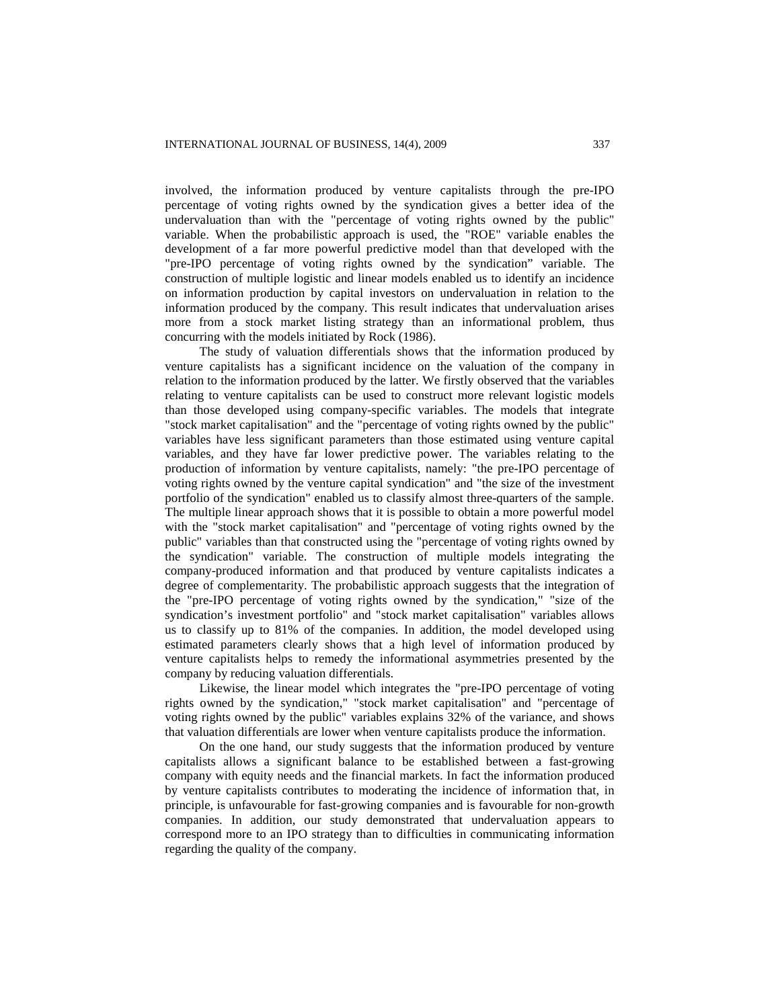involved, the information produced by venture capitalists through the pre-IPO percentage of voting rights owned by the syndication gives a better idea of the undervaluation than with the "percentage of voting rights owned by the public" variable. When the probabilistic approach is used, the "ROE" variable enables the development of a far more powerful predictive model than that developed with the "pre-IPO percentage of voting rights owned by the syndication" variable. The construction of multiple logistic and linear models enabled us to identify an incidence on information production by capital investors on undervaluation in relation to the information produced by the company. This result indicates that undervaluation arises more from a stock market listing strategy than an informational problem, thus concurring with the models initiated by Rock (1986).

The study of valuation differentials shows that the information produced by venture capitalists has a significant incidence on the valuation of the company in relation to the information produced by the latter. We firstly observed that the variables relating to venture capitalists can be used to construct more relevant logistic models than those developed using company-specific variables. The models that integrate "stock market capitalisation" and the "percentage of voting rights owned by the public" variables have less significant parameters than those estimated using venture capital variables, and they have far lower predictive power. The variables relating to the production of information by venture capitalists, namely: "the pre-IPO percentage of voting rights owned by the venture capital syndication" and "the size of the investment portfolio of the syndication" enabled us to classify almost three-quarters of the sample. The multiple linear approach shows that it is possible to obtain a more powerful model with the "stock market capitalisation" and "percentage of voting rights owned by the public" variables than that constructed using the "percentage of voting rights owned by the syndication" variable. The construction of multiple models integrating the company-produced information and that produced by venture capitalists indicates a degree of complementarity. The probabilistic approach suggests that the integration of the "pre-IPO percentage of voting rights owned by the syndication," "size of the syndication's investment portfolio" and "stock market capitalisation" variables allows us to classify up to 81% of the companies. In addition, the model developed using estimated parameters clearly shows that a high level of information produced by venture capitalists helps to remedy the informational asymmetries presented by the company by reducing valuation differentials.

Likewise, the linear model which integrates the "pre-IPO percentage of voting rights owned by the syndication," "stock market capitalisation" and "percentage of voting rights owned by the public" variables explains 32% of the variance, and shows that valuation differentials are lower when venture capitalists produce the information.

On the one hand, our study suggests that the information produced by venture capitalists allows a significant balance to be established between a fast-growing company with equity needs and the financial markets. In fact the information produced by venture capitalists contributes to moderating the incidence of information that, in principle, is unfavourable for fast-growing companies and is favourable for non-growth companies. In addition, our study demonstrated that undervaluation appears to correspond more to an IPO strategy than to difficulties in communicating information regarding the quality of the company.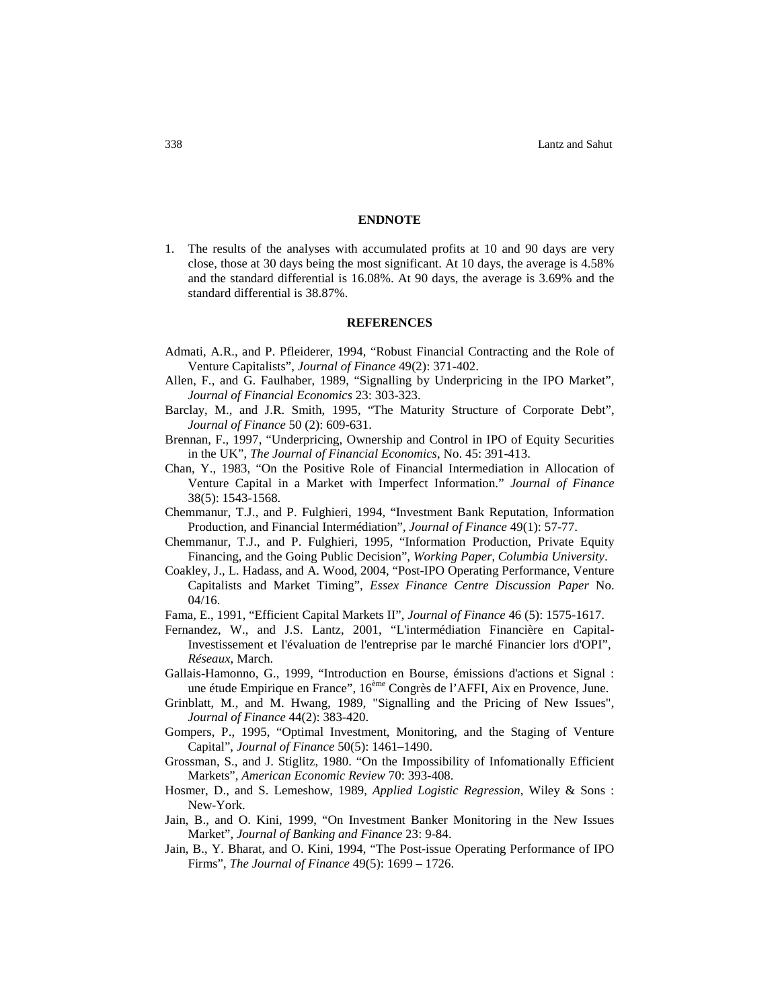#### **ENDNOTE**

1. The results of the analyses with accumulated profits at 10 and 90 days are very close, those at 30 days being the most significant. At 10 days, the average is 4.58% and the standard differential is 16.08%. At 90 days, the average is 3.69% and the standard differential is 38.87%.

## **REFERENCES**

- Admati, A.R., and P. Pfleiderer, 1994, "Robust Financial Contracting and the Role of Venture Capitalists", *Journal of Finance* 49(2): 371-402.
- Allen, F., and G. Faulhaber, 1989, "Signalling by Underpricing in the IPO Market", *Journal of Financial Economics* 23: 303-323.
- Barclay, M., and J.R. Smith, 1995, "The Maturity Structure of Corporate Debt", *Journal of Finance* 50 (2): 609-631.
- Brennan, F., 1997, "Underpricing, Ownership and Control in IPO of Equity Securities in the UK", *The Journal of Financial Economics*, No. 45: 391-413.
- Chan, Y., 1983, "On the Positive Role of Financial Intermediation in Allocation of Venture Capital in a Market with Imperfect Information." *Journal of Finance* 38(5): 1543-1568.
- Chemmanur, T.J., and P. Fulghieri, 1994, "Investment Bank Reputation, Information Production, and Financial Intermédiation", *Journal of Finance* 49(1): 57-77.
- Chemmanur, T.J., and P. Fulghieri, 1995, "Information Production, Private Equity Financing, and the Going Public Decision", *Working Paper*, *Columbia University*.
- Coakley, J., L. Hadass, and A. Wood, 2004, "Post-IPO Operating Performance, Venture Capitalists and Market Timing", *Essex Finance Centre Discussion Paper* No. 04/16.
- Fama, E., 1991, "Efficient Capital Markets II", *Journal of Finance* 46 (5): 1575-1617.
- Fernandez, W., and J.S. Lantz, 2001, "L'intermédiation Financière en Capital-Investissement et l'évaluation de l'entreprise par le marché Financier lors d'OPI", *Réseaux*, March.
- Gallais-Hamonno, G., 1999, "Introduction en Bourse, émissions d'actions et Signal : une étude Empirique en France", 16ème Congrès de l'AFFI, Aix en Provence, June.
- Grinblatt, M., and M. Hwang, 1989, "Signalling and the Pricing of New Issues", *Journal of Finance* 44(2): 383-420.
- Gompers, P., 1995, "Optimal Investment, Monitoring, and the Staging of Venture Capital", *Journal of Finance* 50(5): 1461–1490.
- Grossman, S., and J. Stiglitz, 1980. "On the Impossibility of Infomationally Efficient Markets", *American Economic Review* 70: 393-408.
- Hosmer, D., and S. Lemeshow, 1989, *Applied Logistic Regression*, Wiley & Sons : New-York.
- Jain, B., and O. Kini, 1999, "On Investment Banker Monitoring in the New Issues Market", *Journal of Banking and Finance* 23: 9-84.
- Jain, B., Y. Bharat, and O. Kini, 1994, "The Post-issue Operating Performance of IPO Firms", *The Journal of Finance* 49(5): 1699 – 1726.